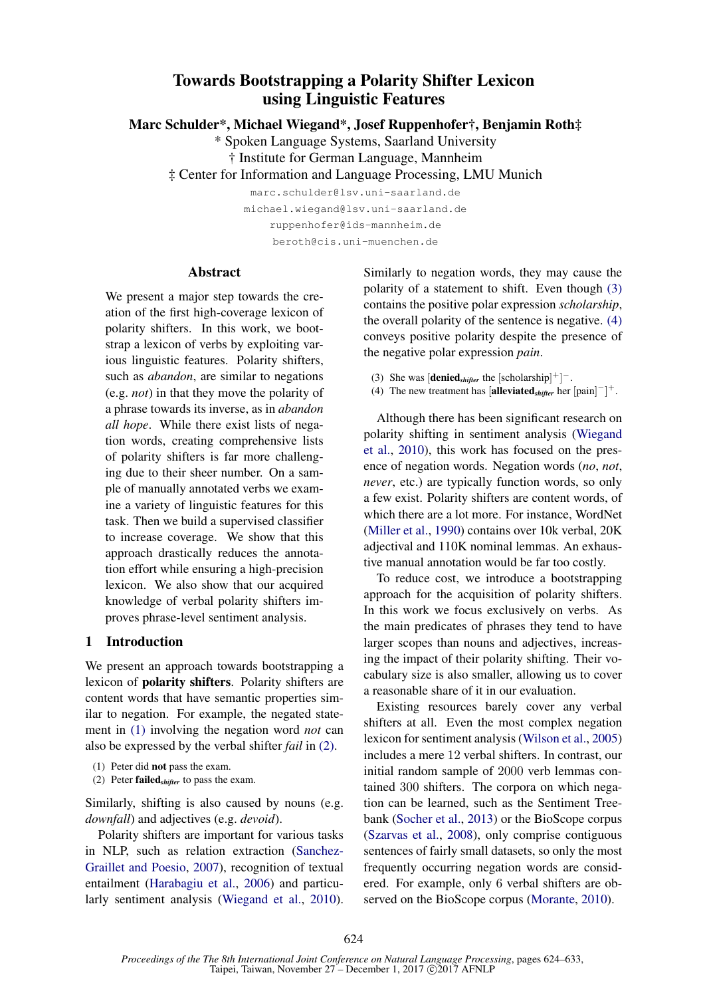# Towards Bootstrapping a Polarity Shifter Lexicon using Linguistic Features

Marc Schulder\*, Michael Wiegand\*, Josef Ruppenhofer†, Benjamin Roth‡

\* Spoken Language Systems, Saarland University

† Institute for German Language, Mannheim

‡ Center for Information and Language Processing, LMU Munich

marc.schulder@lsv.uni-saarland.de michael.wiegand@lsv.uni-saarland.de ruppenhofer@ids-mannheim.de beroth@cis.uni-muenchen.de

#### Abstract

We present a major step towards the creation of the first high-coverage lexicon of polarity shifters. In this work, we bootstrap a lexicon of verbs by exploiting various linguistic features. Polarity shifters, such as *abandon*, are similar to negations (e.g. *not*) in that they move the polarity of a phrase towards its inverse, as in *abandon all hope*. While there exist lists of negation words, creating comprehensive lists of polarity shifters is far more challenging due to their sheer number. On a sample of manually annotated verbs we examine a variety of linguistic features for this task. Then we build a supervised classifier to increase coverage. We show that this approach drastically reduces the annotation effort while ensuring a high-precision lexicon. We also show that our acquired knowledge of verbal polarity shifters improves phrase-level sentiment analysis.

# 1 Introduction

We present an approach towards bootstrapping a lexicon of polarity shifters. Polarity shifters are content words that have semantic properties similar to negation. For example, the negated statement in (1) involving the negation word *not* can also be expressed by the verbal shifter *fail* in (2).

- (1) Peter did not pass the exam.
- (2) Peter failed*shifter* to pass the exam.

Similarly, shifting is also caused by nouns (e.g. *downfall*) and adjectives (e.g. *devoid*).

Polarity shifters are important for various tasks in NLP, such as relation extraction (Sanchez-Graillet and Poesio, 2007), recognition of textual entailment (Harabagiu et al., 2006) and particularly sentiment analysis (Wiegand et al., 2010). Similarly to negation words, they may cause the polarity of a statement to shift. Even though (3) contains the positive polar expression *scholarship*, the overall polarity of the sentence is negative. (4) conveys positive polarity despite the presence of the negative polar expression *pain*.

- (3) She was  $[denied<sub>shifter</sub>$  the  $[scholarship]<sup>+</sup>$ .
- (4) The new treatment has  $[\text{alleviated}_{\text{shifter}} \text{ her } [\text{pain}]^{-}]^{+}$ .

Although there has been significant research on polarity shifting in sentiment analysis (Wiegand et al., 2010), this work has focused on the presence of negation words. Negation words (*no*, *not*, *never*, etc.) are typically function words, so only a few exist. Polarity shifters are content words, of which there are a lot more. For instance, WordNet (Miller et al., 1990) contains over 10k verbal, 20K adjectival and 110K nominal lemmas. An exhaustive manual annotation would be far too costly.

To reduce cost, we introduce a bootstrapping approach for the acquisition of polarity shifters. In this work we focus exclusively on verbs. As the main predicates of phrases they tend to have larger scopes than nouns and adjectives, increasing the impact of their polarity shifting. Their vocabulary size is also smaller, allowing us to cover a reasonable share of it in our evaluation.

Existing resources barely cover any verbal shifters at all. Even the most complex negation lexicon for sentiment analysis (Wilson et al., 2005) includes a mere 12 verbal shifters. In contrast, our initial random sample of 2000 verb lemmas contained 300 shifters. The corpora on which negation can be learned, such as the Sentiment Treebank (Socher et al., 2013) or the BioScope corpus (Szarvas et al., 2008), only comprise contiguous sentences of fairly small datasets, so only the most frequently occurring negation words are considered. For example, only 6 verbal shifters are observed on the BioScope corpus (Morante, 2010).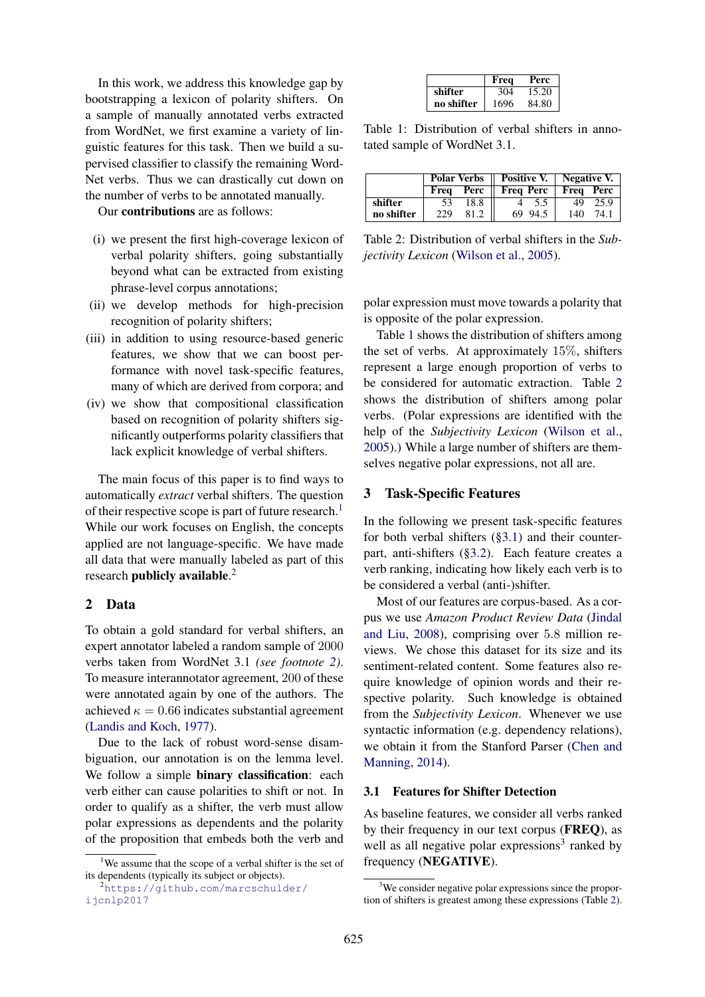In this work, we address this knowledge gap by bootstrapping a lexicon of polarity shifters. On a sample of manually annotated verbs extracted from WordNet, we first examine a variety of linguistic features for this task. Then we build a supervised classifier to classify the remaining Word-Net verbs. Thus we can drastically cut down on the number of verbs to be annotated manually.

Our contributions are as follows:

- (i) we present the first high-coverage lexicon of verbal polarity shifters, going substantially beyond what can be extracted from existing phrase-level corpus annotations;
- (ii) we develop methods for high-precision recognition of polarity shifters;
- (iii) in addition to using resource-based generic features, we show that we can boost performance with novel task-specific features, many of which are derived from corpora; and
- (iv) we show that compositional classification based on recognition of polarity shifters significantly outperforms polarity classifiers that lack explicit knowledge of verbal shifters.

The main focus of this paper is to find ways to automatically *extract* verbal shifters. The question of their respective scope is part of future research.<sup>1</sup> While our work focuses on English, the concepts applied are not language-specific. We have made all data that were manually labeled as part of this research publicly available.<sup>2</sup>

## 2 Data

To obtain a gold standard for verbal shifters, an expert annotator labeled a random sample of 2000 verbs taken from WordNet 3.1 *(see footnote 2)*. To measure interannotator agreement, 200 of these were annotated again by one of the authors. The achieved  $\kappa = 0.66$  indicates substantial agreement (Landis and Koch, 1977).

Due to the lack of robust word-sense disambiguation, our annotation is on the lemma level. We follow a simple **binary classification**: each verb either can cause polarities to shift or not. In order to qualify as a shifter, the verb must allow polar expressions as dependents and the polarity of the proposition that embeds both the verb and

|            | Frea | Perc  |
|------------|------|-------|
| shifter    | 304  | 15.20 |
| no shifter | 1696 | 84.80 |

Table 1: Distribution of verbal shifters in annotated sample of WordNet 3.1.

|            | Polar Verbs    Positive V.   Negative V. |      |                  |             |  |
|------------|------------------------------------------|------|------------------|-------------|--|
|            | Frea                                     | Perc | <b>Freq Perc</b> | Frea Perc   |  |
| shifter    | 53                                       | 18.8 | 5.5              | 25.9<br>49  |  |
| no shifter | 229                                      | 812  | 69 94.5          | 140<br>74.1 |  |

Table 2: Distribution of verbal shifters in the *Subjectivity Lexicon* (Wilson et al., 2005).

polar expression must move towards a polarity that is opposite of the polar expression.

Table 1 shows the distribution of shifters among the set of verbs. At approximately 15%, shifters represent a large enough proportion of verbs to be considered for automatic extraction. Table 2 shows the distribution of shifters among polar verbs. (Polar expressions are identified with the help of the *Subjectivity Lexicon* (Wilson et al., 2005).) While a large number of shifters are themselves negative polar expressions, not all are.

## 3 Task-Specific Features

In the following we present task-specific features for both verbal shifters  $(\S 3.1)$  and their counterpart, anti-shifters (§3.2). Each feature creates a verb ranking, indicating how likely each verb is to be considered a verbal (anti-)shifter.

Most of our features are corpus-based. As a corpus we use *Amazon Product Review Data* (Jindal and Liu, 2008), comprising over 5.8 million reviews. We chose this dataset for its size and its sentiment-related content. Some features also require knowledge of opinion words and their respective polarity. Such knowledge is obtained from the *Subjectivity Lexicon*. Whenever we use syntactic information (e.g. dependency relations), we obtain it from the Stanford Parser (Chen and Manning, 2014).

## 3.1 Features for Shifter Detection

As baseline features, we consider all verbs ranked by their frequency in our text corpus (FREQ), as well as all negative polar expressions $3$  ranked by frequency (NEGATIVE).

<sup>&</sup>lt;sup>1</sup>We assume that the scope of a verbal shifter is the set of its dependents (typically its subject or objects).

<sup>2</sup>https://github.com/marcschulder/ ijcnlp2017

<sup>&</sup>lt;sup>3</sup>We consider negative polar expressions since the proportion of shifters is greatest among these expressions (Table 2).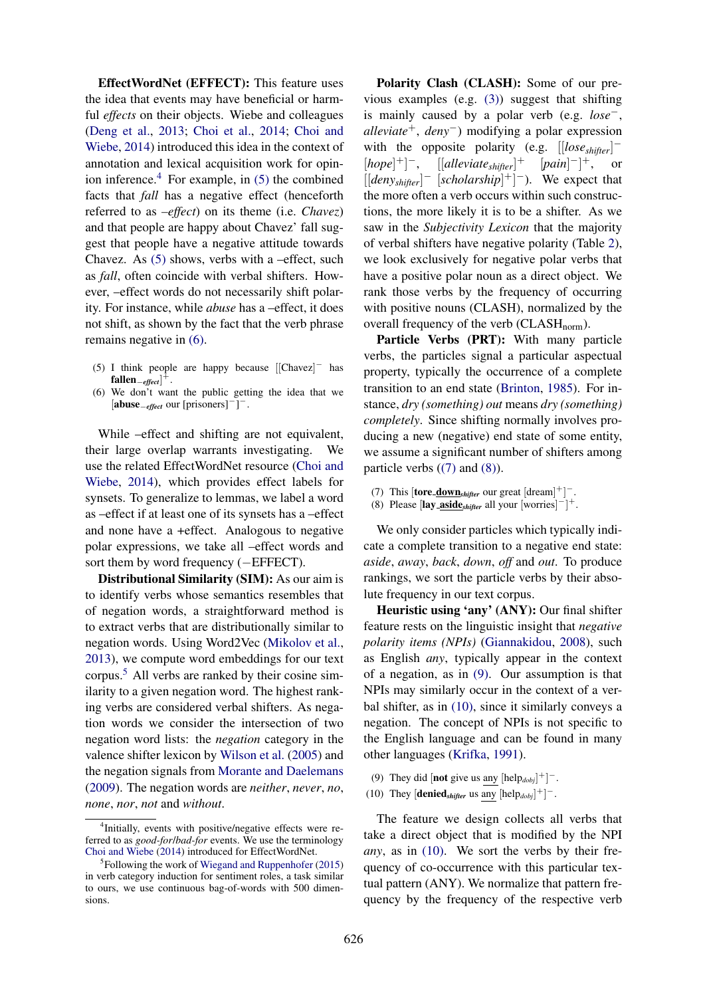EffectWordNet (EFFECT): This feature uses the idea that events may have beneficial or harmful *effects* on their objects. Wiebe and colleagues (Deng et al., 2013; Choi et al., 2014; Choi and Wiebe, 2014) introduced this idea in the context of annotation and lexical acquisition work for opinion inference.<sup>4</sup> For example, in  $(5)$  the combined facts that *fall* has a negative effect (henceforth referred to as *–effect*) on its theme (i.e. *Chavez*) and that people are happy about Chavez' fall suggest that people have a negative attitude towards Chavez. As  $(5)$  shows, verbs with a –effect, such as *fall*, often coincide with verbal shifters. However, –effect words do not necessarily shift polarity. For instance, while *abuse* has a –effect, it does not shift, as shown by the fact that the verb phrase remains negative in (6).

- (5) I think people are happy because  $[[\text{Chavez}]^-$  has  $\textrm{fallen}_{-\textrm{effect}}]^{+}.$
- (6) We don't want the public getting the idea that we [abuse−*effect* our [prisoners]−] −.

While –effect and shifting are not equivalent, their large overlap warrants investigating. We use the related EffectWordNet resource (Choi and Wiebe, 2014), which provides effect labels for synsets. To generalize to lemmas, we label a word as –effect if at least one of its synsets has a –effect and none have a +effect. Analogous to negative polar expressions, we take all –effect words and sort them by word frequency (−EFFECT).

Distributional Similarity (SIM): As our aim is to identify verbs whose semantics resembles that of negation words, a straightforward method is to extract verbs that are distributionally similar to negation words. Using Word2Vec (Mikolov et al., 2013), we compute word embeddings for our text corpus.<sup>5</sup> All verbs are ranked by their cosine similarity to a given negation word. The highest ranking verbs are considered verbal shifters. As negation words we consider the intersection of two negation word lists: the *negation* category in the valence shifter lexicon by Wilson et al. (2005) and the negation signals from Morante and Daelemans (2009). The negation words are *neither*, *never*, *no*, *none*, *nor*, *not* and *without*.

Polarity Clash (CLASH): Some of our previous examples (e.g. (3)) suggest that shifting is mainly caused by a polar verb (e.g. *lose*−, *alleviate*+, *deny*−) modifying a polar expression with the opposite polarity (e.g.  $[[\text{lose}_{\text{shifter}}]^{-}$  $[ hope]$ <sup>+</sup>] <sup>−</sup>, [[*alleviateshifter*] <sup>+</sup> [*pain*] −] <sup>+</sup>, or [[*denyshifter*] − [*scholarship*] +] −). We expect that the more often a verb occurs within such constructions, the more likely it is to be a shifter. As we saw in the *Subjectivity Lexicon* that the majority of verbal shifters have negative polarity (Table 2), we look exclusively for negative polar verbs that have a positive polar noun as a direct object. We rank those verbs by the frequency of occurring with positive nouns (CLASH), normalized by the overall frequency of the verb  $(CLASSH_{norm})$ .

Particle Verbs (PRT): With many particle verbs, the particles signal a particular aspectual property, typically the occurrence of a complete transition to an end state (Brinton, 1985). For instance, *dry (something) out* means *dry (something) completely*. Since shifting normally involves producing a new (negative) end state of some entity, we assume a significant number of shifters among particle verbs  $((7)$  and  $(8)$ ).

(7) This  $[{\bf{tore\_down}_{\textit{shifter}}}$  our great  $[{\rm{dream}}]^{+}]^{-}$ .

We only consider particles which typically indicate a complete transition to a negative end state: *aside*, *away*, *back*, *down*, *off* and *out*. To produce rankings, we sort the particle verbs by their absolute frequency in our text corpus.

Heuristic using 'any' (ANY): Our final shifter feature rests on the linguistic insight that *negative polarity items (NPIs)* (Giannakidou, 2008), such as English *any*, typically appear in the context of a negation, as in (9). Our assumption is that NPIs may similarly occur in the context of a verbal shifter, as in (10), since it similarly conveys a negation. The concept of NPIs is not specific to the English language and can be found in many other languages (Krifka, 1991).

- (9) They did  $[\text{not give us any } [\text{help}_{dobj}]^+]^-$ .
- (10) They  $[\text{denied}_{\text{shifter}}]$  us any  $[\text{help}_{\text{dobj}}]^{+}]^{-}$ .

The feature we design collects all verbs that take a direct object that is modified by the NPI *any*, as in (10). We sort the verbs by their frequency of co-occurrence with this particular textual pattern (ANY). We normalize that pattern frequency by the frequency of the respective verb

<sup>&</sup>lt;sup>4</sup>Initially, events with positive/negative effects were referred to as *good-for*/*bad-for* events. We use the terminology Choi and Wiebe (2014) introduced for EffectWordNet.

<sup>&</sup>lt;sup>5</sup>Following the work of Wiegand and Ruppenhofer (2015) in verb category induction for sentiment roles, a task similar to ours, we use continuous bag-of-words with 500 dimensions.

<sup>(8)</sup> Please  $[\text{lay\_aside}_{shifter} \text{ all your [worries}]^- ]^+.$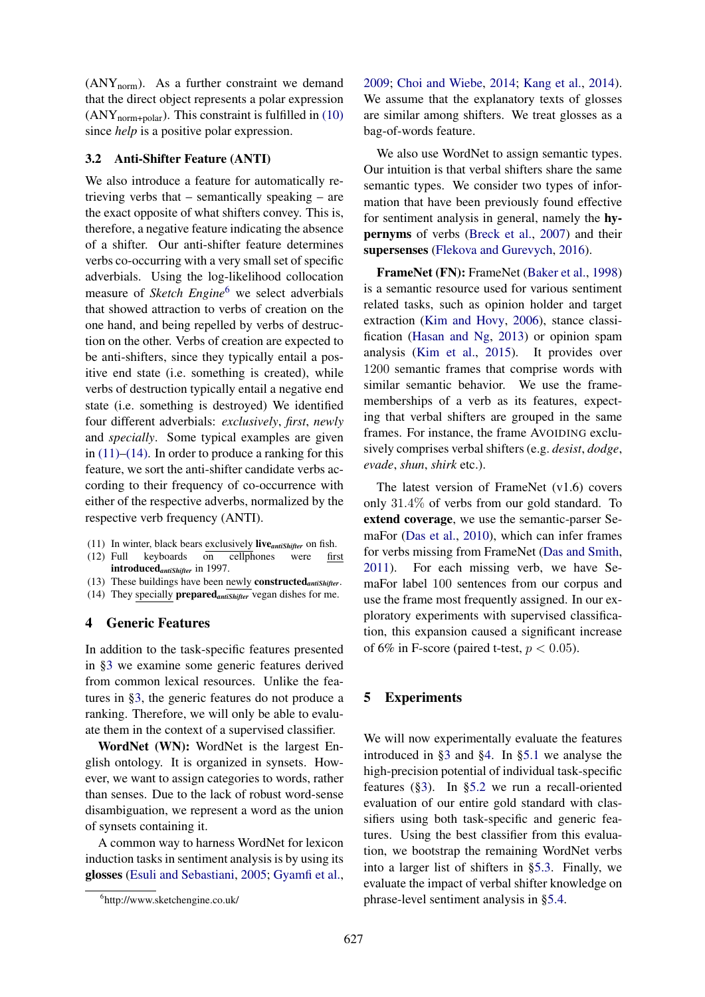$(ANY<sub>norm</sub>)$ . As a further constraint we demand that the direct object represents a polar expression  $(ANY_{norm+polar})$ . This constraint is fulfilled in  $(10)$ since *help* is a positive polar expression.

#### 3.2 Anti-Shifter Feature (ANTI)

We also introduce a feature for automatically retrieving verbs that – semantically speaking – are the exact opposite of what shifters convey. This is, therefore, a negative feature indicating the absence of a shifter. Our anti-shifter feature determines verbs co-occurring with a very small set of specific adverbials. Using the log-likelihood collocation measure of *Sketch Engine*<sup>6</sup> we select adverbials that showed attraction to verbs of creation on the one hand, and being repelled by verbs of destruction on the other. Verbs of creation are expected to be anti-shifters, since they typically entail a positive end state (i.e. something is created), while verbs of destruction typically entail a negative end state (i.e. something is destroyed) We identified four different adverbials: *exclusively*, *first*, *newly* and *specially*. Some typical examples are given in  $(11)$ – $(14)$ . In order to produce a ranking for this feature, we sort the anti-shifter candidate verbs according to their frequency of co-occurrence with either of the respective adverbs, normalized by the respective verb frequency (ANTI).

- (11) In winter, black bears exclusively live*antiShifter* on fish.
- (12) Full keyboards on cellphones were first introduced*antiShifter* in 1997.
- (13) These buildings have been newly constructed*antiShifter*.
- (14) They specially prepared*antiShifter* vegan dishes for me.

## 4 Generic Features

In addition to the task-specific features presented in §3 we examine some generic features derived from common lexical resources. Unlike the features in §3, the generic features do not produce a ranking. Therefore, we will only be able to evaluate them in the context of a supervised classifier.

WordNet (WN): WordNet is the largest English ontology. It is organized in synsets. However, we want to assign categories to words, rather than senses. Due to the lack of robust word-sense disambiguation, we represent a word as the union of synsets containing it.

A common way to harness WordNet for lexicon induction tasks in sentiment analysis is by using its glosses (Esuli and Sebastiani, 2005; Gyamfi et al.,

2009; Choi and Wiebe, 2014; Kang et al., 2014). We assume that the explanatory texts of glosses are similar among shifters. We treat glosses as a bag-of-words feature.

We also use WordNet to assign semantic types. Our intuition is that verbal shifters share the same semantic types. We consider two types of information that have been previously found effective for sentiment analysis in general, namely the hypernyms of verbs (Breck et al., 2007) and their supersenses (Flekova and Gurevych, 2016).

FrameNet (FN): FrameNet (Baker et al., 1998) is a semantic resource used for various sentiment related tasks, such as opinion holder and target extraction (Kim and Hovy, 2006), stance classification (Hasan and Ng, 2013) or opinion spam analysis (Kim et al., 2015). It provides over 1200 semantic frames that comprise words with similar semantic behavior. We use the framememberships of a verb as its features, expecting that verbal shifters are grouped in the same frames. For instance, the frame AVOIDING exclusively comprises verbal shifters (e.g. *desist*, *dodge*, *evade*, *shun*, *shirk* etc.).

The latest version of FrameNet (v1.6) covers only 31.4% of verbs from our gold standard. To extend coverage, we use the semantic-parser SemaFor (Das et al., 2010), which can infer frames for verbs missing from FrameNet (Das and Smith, 2011). For each missing verb, we have SemaFor label 100 sentences from our corpus and use the frame most frequently assigned. In our exploratory experiments with supervised classification, this expansion caused a significant increase of 6% in F-score (paired t-test,  $p < 0.05$ ).

# 5 Experiments

We will now experimentally evaluate the features introduced in §3 and §4. In §5.1 we analyse the high-precision potential of individual task-specific features (§3). In §5.2 we run a recall-oriented evaluation of our entire gold standard with classifiers using both task-specific and generic features. Using the best classifier from this evaluation, we bootstrap the remaining WordNet verbs into a larger list of shifters in §5.3. Finally, we evaluate the impact of verbal shifter knowledge on phrase-level sentiment analysis in §5.4.

<sup>6</sup> http://www.sketchengine.co.uk/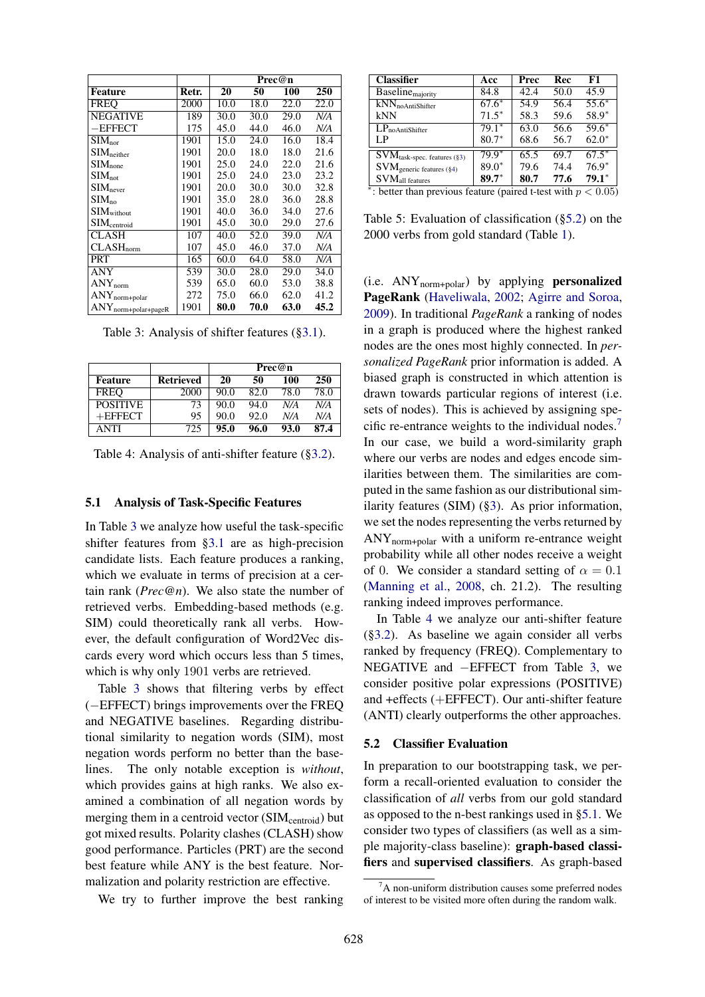|                                      |       | Prec@n |      |      |      |
|--------------------------------------|-------|--------|------|------|------|
| Feature                              | Retr. | 20     | 50   | 100  | 250  |
| FREO                                 | 2000  | 10.0   | 18.0 | 22.0 | 22.0 |
| <b>NEGATIVE</b>                      | 189   | 30.0   | 30.0 | 29.0 | N/A  |
| $-EFFECT$                            | 175   | 45.0   | 44.0 | 46.0 | N/A  |
| $\overline{\text{SIM}}_{\text{nor}}$ | 1901  | 15.0   | 24.0 | 16.0 | 18.4 |
| SIM <sub>neither</sub>               | 1901  | 20.0   | 18.0 | 18.0 | 21.6 |
| SIM <sub>none</sub>                  | 1901  | 25.0   | 24.0 | 22.0 | 21.6 |
| $SIM_{not}$                          | 1901  | 25.0   | 24.0 | 23.0 | 23.2 |
| SIM <sub>never</sub>                 | 1901  | 20.0   | 30.0 | 30.0 | 32.8 |
| $SIM_{no}$                           | 1901  | 35.0   | 28.0 | 36.0 | 28.8 |
| SIM <sub>without</sub>               | 1901  | 40.0   | 36.0 | 34.0 | 27.6 |
| $SIM_{centroid}$                     | 1901  | 45.0   | 30.0 | 29.0 | 27.6 |
| <b>CLASH</b>                         | 107   | 40.0   | 52.0 | 39.0 | N/A  |
| $CLASH_{norm}$                       | 107   | 45.0   | 46.0 | 37.0 | N/A  |
| <b>PRT</b>                           | 165   | 60.0   | 64.0 | 58.0 | N/A  |
| ĀNY                                  | 539   | 30.0   | 28.0 | 29.0 | 34.0 |
| $ANY$ <sub>norm</sub>                | 539   | 65.0   | 60.0 | 53.0 | 38.8 |
| $\mathrm{ANY}_{norm+polar}$          | 272   | 75.0   | 66.0 | 62.0 | 41.2 |
| $ANY$ norm+polar+pageR               | 1901  | 80.0   | 70.0 | 63.0 | 45.2 |

Table 3: Analysis of shifter features (§3.1).

|                 |                  | Prec@n |      |      |            |
|-----------------|------------------|--------|------|------|------------|
| Feature         | <b>Retrieved</b> | 20     | 50   | 100  | <b>250</b> |
| <b>FREO</b>     | 2000             | 90.0   | 82.0 | 78.0 | 78.0       |
| <b>POSITIVE</b> | 73               | 90.0   | 94.0 | N/A  | N/A        |
| $+$ EFFECT      | 95               | 90.0   | 92.0 | N/A  | N/A        |
| ANTI            | 725              | 95.0   | 96.0 | 93.0 | 87.4       |

Table 4: Analysis of anti-shifter feature (§3.2).

#### 5.1 Analysis of Task-Specific Features

In Table 3 we analyze how useful the task-specific shifter features from §3.1 are as high-precision candidate lists. Each feature produces a ranking, which we evaluate in terms of precision at a certain rank (*Prec@n*). We also state the number of retrieved verbs. Embedding-based methods (e.g. SIM) could theoretically rank all verbs. However, the default configuration of Word2Vec discards every word which occurs less than 5 times, which is why only 1901 verbs are retrieved.

Table 3 shows that filtering verbs by effect (−EFFECT) brings improvements over the FREQ and NEGATIVE baselines. Regarding distributional similarity to negation words (SIM), most negation words perform no better than the baselines. The only notable exception is *without*, which provides gains at high ranks. We also examined a combination of all negation words by merging them in a centroid vector  $(SIM_{centroid})$  but got mixed results. Polarity clashes (CLASH) show good performance. Particles (PRT) are the second best feature while ANY is the best feature. Normalization and polarity restriction are effective.

We try to further improve the best ranking

| <b>Classifier</b>                                          | Acc               | Prec                                                                                                                                                                                                                                     | Rec         | F1           |
|------------------------------------------------------------|-------------------|------------------------------------------------------------------------------------------------------------------------------------------------------------------------------------------------------------------------------------------|-------------|--------------|
| <b>Baseline</b> <sub>majority</sub>                        | 84.8              | 42.4                                                                                                                                                                                                                                     | 50.0        | 45.9         |
| <b>KNN</b> <sub>noAntiShifter</sub>                        | $67.6*$           | 54.9                                                                                                                                                                                                                                     | 56.4        | $55.6*$      |
| kNN                                                        | $71.5*$           | 58.3                                                                                                                                                                                                                                     | 59.6        | 58.9*        |
| $LP$ noAntiShifter                                         | $79.1*$           | 63.0                                                                                                                                                                                                                                     | 56.6        | $59.6*$      |
| LP                                                         | $80.7*$           | 68.6                                                                                                                                                                                                                                     | 56.7        | $62.0*$      |
| $\overline{SVM}_{task\text{-}spec. \text{ features (§3)}}$ | $79.9*$           | 65.5                                                                                                                                                                                                                                     | 69.7        | $67.5*$      |
| $\text{SVM}_{\text{generic features (§4)}}$                | $89.0*$           | 79.6                                                                                                                                                                                                                                     | 74.4        | $76.9*$      |
| $\text{SVM}_{\text{all features}}$<br>.<br>$\sim$          | $89.7*$<br>$\sim$ | 80.7<br>$\cdots$ . The contract of the contract of the contract of the contract of the contract of the contract of the contract of the contract of the contract of the contract of the contract of the contract of the contract of the c | 77.6<br>. . | $79.1*$<br>. |

\*: better than previous feature (paired t-test with  $p < 0.05$ )

Table 5: Evaluation of classification (§5.2) on the 2000 verbs from gold standard (Table 1).

 $(i.e. ANY<sub>norm+polar</sub>)$  by applying **personalized** PageRank (Haveliwala, 2002; Agirre and Soroa, 2009). In traditional *PageRank* a ranking of nodes in a graph is produced where the highest ranked nodes are the ones most highly connected. In *personalized PageRank* prior information is added. A biased graph is constructed in which attention is drawn towards particular regions of interest (i.e. sets of nodes). This is achieved by assigning specific re-entrance weights to the individual nodes.<sup>7</sup> In our case, we build a word-similarity graph where our verbs are nodes and edges encode similarities between them. The similarities are computed in the same fashion as our distributional similarity features (SIM) (§3). As prior information, we set the nodes representing the verbs returned by ANYnorm+polar with a uniform re-entrance weight probability while all other nodes receive a weight of 0. We consider a standard setting of  $\alpha = 0.1$ (Manning et al., 2008, ch. 21.2). The resulting ranking indeed improves performance.

In Table 4 we analyze our anti-shifter feature (§3.2). As baseline we again consider all verbs ranked by frequency (FREQ). Complementary to NEGATIVE and −EFFECT from Table 3, we consider positive polar expressions (POSITIVE) and +effects (+EFFECT). Our anti-shifter feature (ANTI) clearly outperforms the other approaches.

#### 5.2 Classifier Evaluation

In preparation to our bootstrapping task, we perform a recall-oriented evaluation to consider the classification of *all* verbs from our gold standard as opposed to the n-best rankings used in §5.1. We consider two types of classifiers (as well as a simple majority-class baseline): graph-based classifiers and supervised classifiers. As graph-based

 $7A$  non-uniform distribution causes some preferred nodes of interest to be visited more often during the random walk.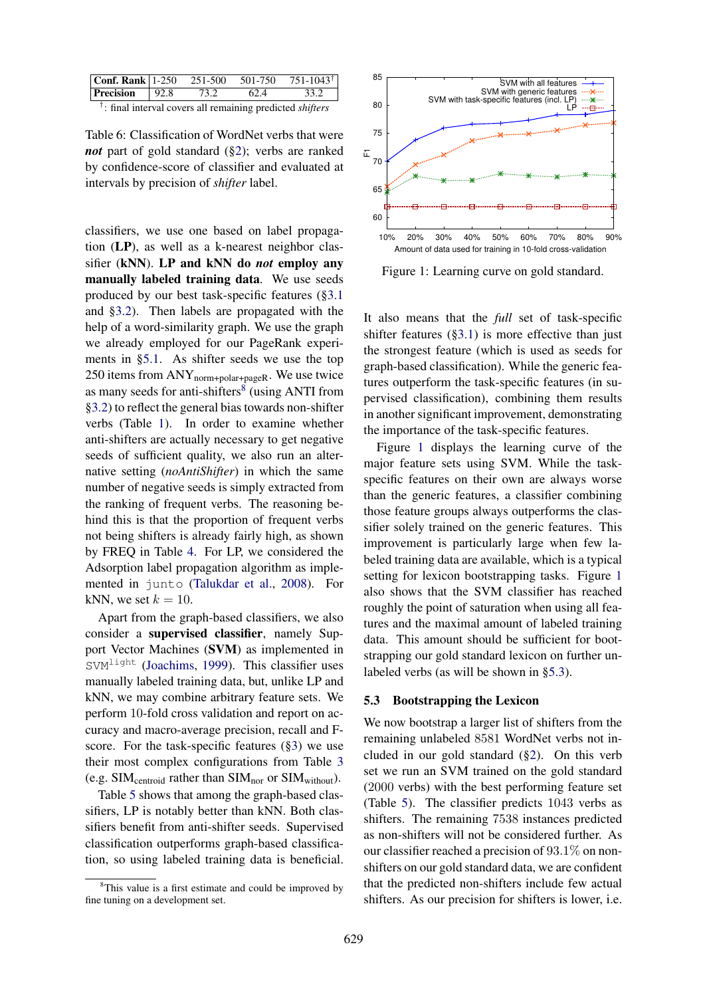| $ Conf$ . Rank $ 1-250$                                                      |  | 251-500 | 501-750 | $751 - 1043^{\dagger}$ |  |
|------------------------------------------------------------------------------|--|---------|---------|------------------------|--|
| $Precision \qquad 92.8$                                                      |  | 73.2    | 62.4    | 33.2                   |  |
| <sup>†</sup> : final interval covers all remaining predicted <i>shifters</i> |  |         |         |                        |  |

Table 6: Classification of WordNet verbs that were *not* part of gold standard (§2); verbs are ranked by confidence-score of classifier and evaluated at intervals by precision of *shifter* label.

classifiers, we use one based on label propagation (LP), as well as a k-nearest neighbor classifier (kNN). LP and kNN do *not* employ any manually labeled training data. We use seeds produced by our best task-specific features (§3.1 and §3.2). Then labels are propagated with the help of a word-similarity graph. We use the graph we already employed for our PageRank experiments in §5.1. As shifter seeds we use the top 250 items from  $ANY_{norm+polar+pageR}$ . We use twice as many seeds for anti-shifters<sup>8</sup> (using ANTI from §3.2) to reflect the general bias towards non-shifter verbs (Table 1). In order to examine whether anti-shifters are actually necessary to get negative seeds of sufficient quality, we also run an alternative setting (*noAntiShifter*) in which the same number of negative seeds is simply extracted from the ranking of frequent verbs. The reasoning behind this is that the proportion of frequent verbs not being shifters is already fairly high, as shown by FREQ in Table 4. For LP, we considered the Adsorption label propagation algorithm as implemented in junto (Talukdar et al., 2008). For kNN, we set  $k = 10$ .

Apart from the graph-based classifiers, we also consider a supervised classifier, namely Support Vector Machines (SVM) as implemented in  $SVM<sup>light</sup>$  (Joachims, 1999). This classifier uses manually labeled training data, but, unlike LP and kNN, we may combine arbitrary feature sets. We perform 10-fold cross validation and report on accuracy and macro-average precision, recall and Fscore. For the task-specific features (§3) we use their most complex configurations from Table 3 (e.g.  $SIM_{centroid}$  rather than  $SIM_{nor}$  or  $SIM_{without}$ ).

Table 5 shows that among the graph-based classifiers, LP is notably better than kNN. Both classifiers benefit from anti-shifter seeds. Supervised classification outperforms graph-based classification, so using labeled training data is beneficial.



Figure 1: Learning curve on gold standard.

It also means that the *full* set of task-specific shifter features  $(\S 3.1)$  is more effective than just the strongest feature (which is used as seeds for graph-based classification). While the generic features outperform the task-specific features (in supervised classification), combining them results in another significant improvement, demonstrating the importance of the task-specific features.

Figure 1 displays the learning curve of the major feature sets using SVM. While the taskspecific features on their own are always worse than the generic features, a classifier combining those feature groups always outperforms the classifier solely trained on the generic features. This improvement is particularly large when few labeled training data are available, which is a typical setting for lexicon bootstrapping tasks. Figure 1 also shows that the SVM classifier has reached roughly the point of saturation when using all features and the maximal amount of labeled training data. This amount should be sufficient for bootstrapping our gold standard lexicon on further unlabeled verbs (as will be shown in §5.3).

#### 5.3 Bootstrapping the Lexicon

We now bootstrap a larger list of shifters from the remaining unlabeled 8581 WordNet verbs not included in our gold standard (§2). On this verb set we run an SVM trained on the gold standard (2000 verbs) with the best performing feature set (Table 5). The classifier predicts 1043 verbs as shifters. The remaining 7538 instances predicted as non-shifters will not be considered further. As our classifier reached a precision of 93.1% on nonshifters on our gold standard data, we are confident that the predicted non-shifters include few actual shifters. As our precision for shifters is lower, i.e.

 ${}^{8}$ This value is a first estimate and could be improved by fine tuning on a development set.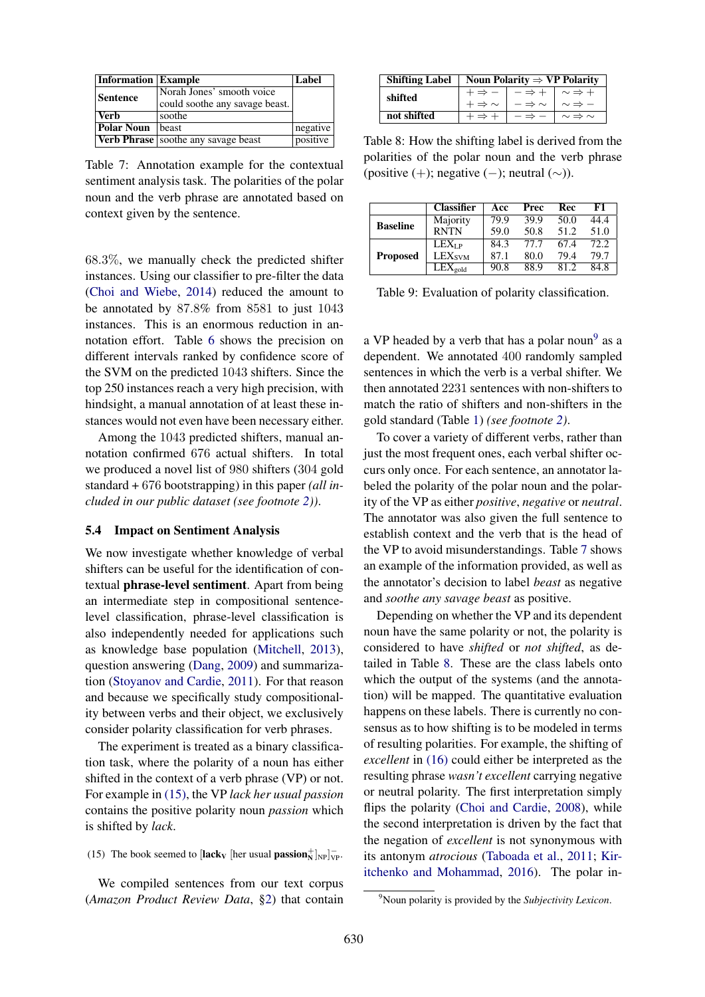| <b>Information Example</b> |                                     | Label    |
|----------------------------|-------------------------------------|----------|
| <b>Sentence</b>            | Norah Jones' smooth voice           |          |
|                            | could soothe any savage beast.      |          |
| <b>Verb</b>                | soothe                              |          |
| <b>Polar Noun</b>          | beast                               | negative |
|                            | Verb Phrase soothe any savage beast | positive |

Table 7: Annotation example for the contextual sentiment analysis task. The polarities of the polar noun and the verb phrase are annotated based on context given by the sentence.

68.3%, we manually check the predicted shifter instances. Using our classifier to pre-filter the data (Choi and Wiebe, 2014) reduced the amount to be annotated by 87.8% from 8581 to just 1043 instances. This is an enormous reduction in annotation effort. Table 6 shows the precision on different intervals ranked by confidence score of the SVM on the predicted 1043 shifters. Since the top 250 instances reach a very high precision, with hindsight, a manual annotation of at least these instances would not even have been necessary either.

Among the 1043 predicted shifters, manual annotation confirmed 676 actual shifters. In total we produced a novel list of 980 shifters (304 gold standard + 676 bootstrapping) in this paper *(all included in our public dataset (see footnote 2))*.

#### 5.4 Impact on Sentiment Analysis

We now investigate whether knowledge of verbal shifters can be useful for the identification of contextual phrase-level sentiment. Apart from being an intermediate step in compositional sentencelevel classification, phrase-level classification is also independently needed for applications such as knowledge base population (Mitchell, 2013), question answering (Dang, 2009) and summarization (Stoyanov and Cardie, 2011). For that reason and because we specifically study compositionality between verbs and their object, we exclusively consider polarity classification for verb phrases.

The experiment is treated as a binary classification task, where the polarity of a noun has either shifted in the context of a verb phrase (VP) or not. For example in (15), the VP *lack her usual passion* contains the positive polarity noun *passion* which is shifted by *lack*.

We compiled sentences from our text corpus (*Amazon Product Review Data*, §2) that contain

| <b>Shifting Label</b> | Noun Polarity $\Rightarrow$ VP Polarity |                                  |                             |  |
|-----------------------|-----------------------------------------|----------------------------------|-----------------------------|--|
| shifted               | $+ \Rightarrow -$                       | $-\Rightarrow +$ $\Rightarrow +$ |                             |  |
|                       | $+ \Rightarrow \sim$                    | $-\Rightarrow \sim$              | $\sim$ $\Rightarrow$ $-$    |  |
| not shifted           | $+ \Rightarrow +$                       | $- \Rightarrow -$                | $\sim$ $\Rightarrow$ $\sim$ |  |

Table 8: How the shifting label is derived from the polarities of the polar noun and the verb phrase (positive  $(+)$ ; negative  $(-)$ ; neutral  $(\sim)$ ).

|                 | <b>Classifier</b>    | Acc  | Prec | Rec  | F1   |
|-----------------|----------------------|------|------|------|------|
| <b>Baseline</b> | Majority             | 79.9 | 39.9 | 50.0 | 44.4 |
|                 | <b>RNTN</b>          | 59.0 | 50.8 | 51.2 | 51.0 |
|                 | $LEX$ <sub>I P</sub> | 84.3 | 77.7 | 67.4 | 72.2 |
| <b>Proposed</b> | $LEX_{SVM}$          | 87.1 | 80.0 | 79.4 | 79.7 |
|                 | $LEX_{gold}$         | 90.8 | 88.9 | 812  | 84.8 |

Table 9: Evaluation of polarity classification.

a VP headed by a verb that has a polar noun<sup>9</sup> as a dependent. We annotated 400 randomly sampled sentences in which the verb is a verbal shifter. We then annotated 2231 sentences with non-shifters to match the ratio of shifters and non-shifters in the gold standard (Table 1) *(see footnote 2)*.

To cover a variety of different verbs, rather than just the most frequent ones, each verbal shifter occurs only once. For each sentence, an annotator labeled the polarity of the polar noun and the polarity of the VP as either *positive*, *negative* or *neutral*. The annotator was also given the full sentence to establish context and the verb that is the head of the VP to avoid misunderstandings. Table 7 shows an example of the information provided, as well as the annotator's decision to label *beast* as negative and *soothe any savage beast* as positive.

Depending on whether the VP and its dependent noun have the same polarity or not, the polarity is considered to have *shifted* or *not shifted*, as detailed in Table 8. These are the class labels onto which the output of the systems (and the annotation) will be mapped. The quantitative evaluation happens on these labels. There is currently no consensus as to how shifting is to be modeled in terms of resulting polarities. For example, the shifting of *excellent* in (16) could either be interpreted as the resulting phrase *wasn't excellent* carrying negative or neutral polarity. The first interpretation simply flips the polarity (Choi and Cardie, 2008), while the second interpretation is driven by the fact that the negation of *excellent* is not synonymous with its antonym *atrocious* (Taboada et al., 2011; Kiritchenko and Mohammad, 2016). The polar in-

<sup>(15)</sup> The book seemed to [lack<sub>V</sub> [her usual **passion**<sup>+</sup><sub>NP</sub>]<sub>VP</sub>.

<sup>9</sup>Noun polarity is provided by the *Subjectivity Lexicon*.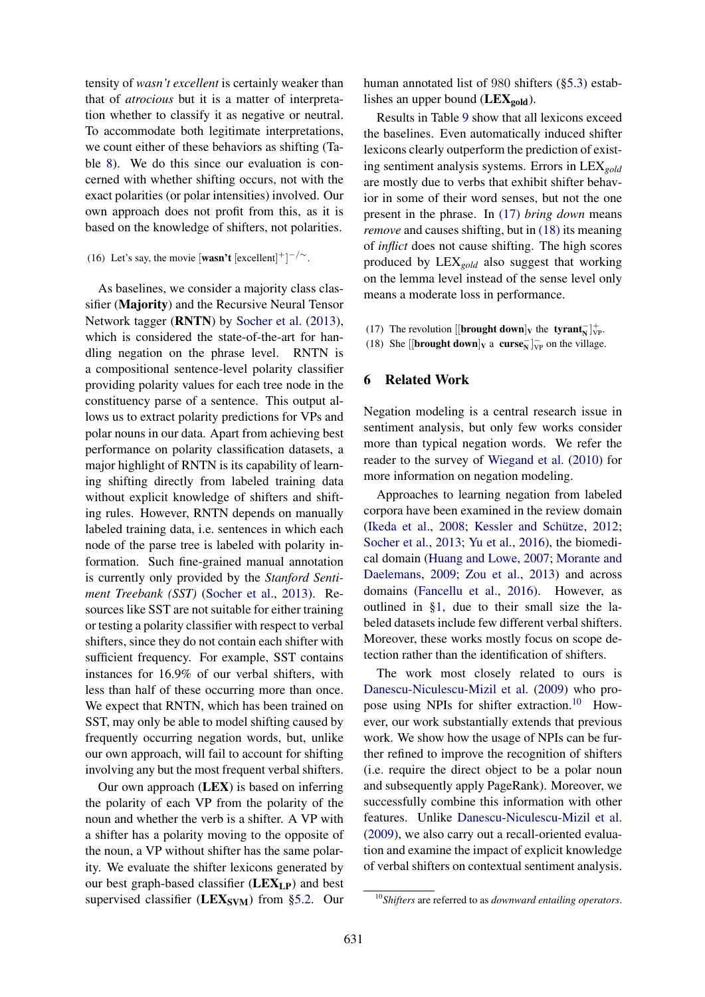tensity of *wasn't excellent* is certainly weaker than that of *atrocious* but it is a matter of interpretation whether to classify it as negative or neutral. To accommodate both legitimate interpretations, we count either of these behaviors as shifting (Table 8). We do this since our evaluation is concerned with whether shifting occurs, not with the exact polarities (or polar intensities) involved. Our own approach does not profit from this, as it is based on the knowledge of shifters, not polarities.

(16) Let's say, the movie  $[\text{wasn't } [\text{excellent}]^+]^{-/\sim}$ .

As baselines, we consider a majority class classifier (Majority) and the Recursive Neural Tensor Network tagger (RNTN) by Socher et al. (2013), which is considered the state-of-the-art for handling negation on the phrase level. RNTN is a compositional sentence-level polarity classifier providing polarity values for each tree node in the constituency parse of a sentence. This output allows us to extract polarity predictions for VPs and polar nouns in our data. Apart from achieving best performance on polarity classification datasets, a major highlight of RNTN is its capability of learning shifting directly from labeled training data without explicit knowledge of shifters and shifting rules. However, RNTN depends on manually labeled training data, i.e. sentences in which each node of the parse tree is labeled with polarity information. Such fine-grained manual annotation is currently only provided by the *Stanford Sentiment Treebank (SST)* (Socher et al., 2013). Resources like SST are not suitable for either training or testing a polarity classifier with respect to verbal shifters, since they do not contain each shifter with sufficient frequency. For example, SST contains instances for 16.9% of our verbal shifters, with less than half of these occurring more than once. We expect that RNTN, which has been trained on SST, may only be able to model shifting caused by frequently occurring negation words, but, unlike our own approach, will fail to account for shifting involving any but the most frequent verbal shifters.

Our own approach (LEX) is based on inferring the polarity of each VP from the polarity of the noun and whether the verb is a shifter. A VP with a shifter has a polarity moving to the opposite of the noun, a VP without shifter has the same polarity. We evaluate the shifter lexicons generated by our best graph-based classifier  $(LEX_{LP})$  and best supervised classifier (LEX<sub>SVM</sub>) from §5.2. Our human annotated list of 980 shifters (§5.3) establishes an upper bound  $(LEX_{gold})$ .

Results in Table 9 show that all lexicons exceed the baselines. Even automatically induced shifter lexicons clearly outperform the prediction of existing sentiment analysis systems. Errors in LEX*gold* are mostly due to verbs that exhibit shifter behavior in some of their word senses, but not the one present in the phrase. In (17) *bring down* means *remove* and causes shifting, but in (18) its meaning of *inflict* does not cause shifting. The high scores produced by LEX*gold* also suggest that working on the lemma level instead of the sense level only means a moderate loss in performance.

(17) The revolution [[**brought down**]<sub>V</sub> the **tyrant**<sub>N</sub><sup>-</sup>]<sub>VP</sub>. (18) She [[**brought down**]<sub>V</sub> a curse<sub>N</sub> $\vert_{VP}^{-}$  on the village.

#### 6 Related Work

Negation modeling is a central research issue in sentiment analysis, but only few works consider more than typical negation words. We refer the reader to the survey of Wiegand et al. (2010) for more information on negation modeling.

Approaches to learning negation from labeled corpora have been examined in the review domain (Ikeda et al., 2008; Kessler and Schütze, 2012; Socher et al., 2013; Yu et al., 2016), the biomedical domain (Huang and Lowe, 2007; Morante and Daelemans, 2009; Zou et al., 2013) and across domains (Fancellu et al., 2016). However, as outlined in §1, due to their small size the labeled datasets include few different verbal shifters. Moreover, these works mostly focus on scope detection rather than the identification of shifters.

The work most closely related to ours is Danescu-Niculescu-Mizil et al. (2009) who propose using NPIs for shifter extraction.<sup>10</sup> However, our work substantially extends that previous work. We show how the usage of NPIs can be further refined to improve the recognition of shifters (i.e. require the direct object to be a polar noun and subsequently apply PageRank). Moreover, we successfully combine this information with other features. Unlike Danescu-Niculescu-Mizil et al. (2009), we also carry out a recall-oriented evaluation and examine the impact of explicit knowledge of verbal shifters on contextual sentiment analysis.

<sup>10</sup>*Shifters* are referred to as *downward entailing operators*.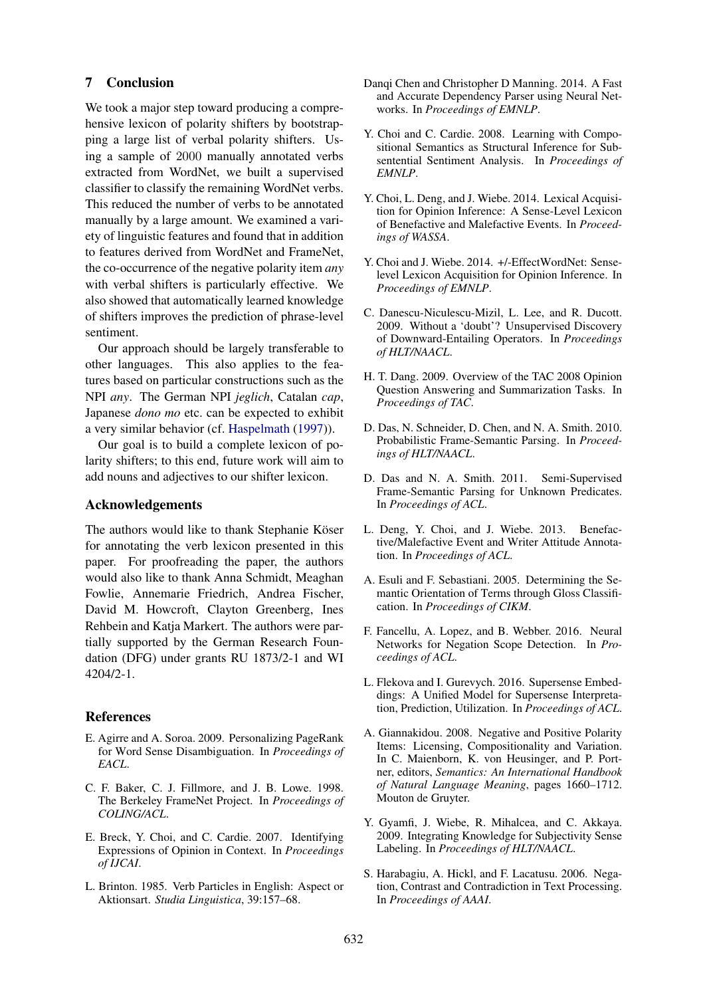## 7 Conclusion

We took a major step toward producing a comprehensive lexicon of polarity shifters by bootstrapping a large list of verbal polarity shifters. Using a sample of 2000 manually annotated verbs extracted from WordNet, we built a supervised classifier to classify the remaining WordNet verbs. This reduced the number of verbs to be annotated manually by a large amount. We examined a variety of linguistic features and found that in addition to features derived from WordNet and FrameNet, the co-occurrence of the negative polarity item *any* with verbal shifters is particularly effective. We also showed that automatically learned knowledge of shifters improves the prediction of phrase-level sentiment.

Our approach should be largely transferable to other languages. This also applies to the features based on particular constructions such as the NPI *any*. The German NPI *jeglich*, Catalan *cap*, Japanese *dono mo* etc. can be expected to exhibit a very similar behavior (cf. Haspelmath (1997)).

Our goal is to build a complete lexicon of polarity shifters; to this end, future work will aim to add nouns and adjectives to our shifter lexicon.

## Acknowledgements

The authors would like to thank Stephanie Köser for annotating the verb lexicon presented in this paper. For proofreading the paper, the authors would also like to thank Anna Schmidt, Meaghan Fowlie, Annemarie Friedrich, Andrea Fischer, David M. Howcroft, Clayton Greenberg, Ines Rehbein and Katja Markert. The authors were partially supported by the German Research Foundation (DFG) under grants RU 1873/2-1 and WI 4204/2-1.

## References

- E. Agirre and A. Soroa. 2009. Personalizing PageRank for Word Sense Disambiguation. In *Proceedings of EACL*.
- C. F. Baker, C. J. Fillmore, and J. B. Lowe. 1998. The Berkeley FrameNet Project. In *Proceedings of COLING/ACL*.
- E. Breck, Y. Choi, and C. Cardie. 2007. Identifying Expressions of Opinion in Context. In *Proceedings of IJCAI*.
- L. Brinton. 1985. Verb Particles in English: Aspect or Aktionsart. *Studia Linguistica*, 39:157–68.
- Dangi Chen and Christopher D Manning. 2014. A Fast and Accurate Dependency Parser using Neural Networks. In *Proceedings of EMNLP*.
- Y. Choi and C. Cardie. 2008. Learning with Compositional Semantics as Structural Inference for Subsentential Sentiment Analysis. In *Proceedings of EMNLP*.
- Y. Choi, L. Deng, and J. Wiebe. 2014. Lexical Acquisition for Opinion Inference: A Sense-Level Lexicon of Benefactive and Malefactive Events. In *Proceedings of WASSA*.
- Y. Choi and J. Wiebe. 2014. +/-EffectWordNet: Senselevel Lexicon Acquisition for Opinion Inference. In *Proceedings of EMNLP*.
- C. Danescu-Niculescu-Mizil, L. Lee, and R. Ducott. 2009. Without a 'doubt'? Unsupervised Discovery of Downward-Entailing Operators. In *Proceedings of HLT/NAACL*.
- H. T. Dang. 2009. Overview of the TAC 2008 Opinion Question Answering and Summarization Tasks. In *Proceedings of TAC*.
- D. Das, N. Schneider, D. Chen, and N. A. Smith. 2010. Probabilistic Frame-Semantic Parsing. In *Proceedings of HLT/NAACL*.
- D. Das and N. A. Smith. 2011. Semi-Supervised Frame-Semantic Parsing for Unknown Predicates. In *Proceedings of ACL*.
- L. Deng, Y. Choi, and J. Wiebe. 2013. Benefactive/Malefactive Event and Writer Attitude Annotation. In *Proceedings of ACL*.
- A. Esuli and F. Sebastiani. 2005. Determining the Semantic Orientation of Terms through Gloss Classification. In *Proceedings of CIKM*.
- F. Fancellu, A. Lopez, and B. Webber. 2016. Neural Networks for Negation Scope Detection. In *Proceedings of ACL*.
- L. Flekova and I. Gurevych. 2016. Supersense Embeddings: A Unified Model for Supersense Interpretation, Prediction, Utilization. In *Proceedings of ACL*.
- A. Giannakidou. 2008. Negative and Positive Polarity Items: Licensing, Compositionality and Variation. In C. Maienborn, K. von Heusinger, and P. Portner, editors, *Semantics: An International Handbook of Natural Language Meaning*, pages 1660–1712. Mouton de Gruyter.
- Y. Gyamfi, J. Wiebe, R. Mihalcea, and C. Akkaya. 2009. Integrating Knowledge for Subjectivity Sense Labeling. In *Proceedings of HLT/NAACL*.
- S. Harabagiu, A. Hickl, and F. Lacatusu. 2006. Negation, Contrast and Contradiction in Text Processing. In *Proceedings of AAAI*.